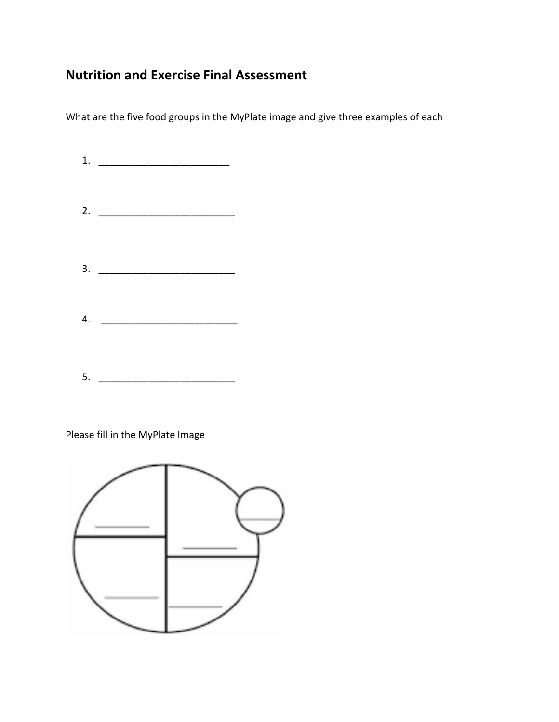# **Nutrition and Exercise Final Assessment**

What are the five food groups in the MyPlate image and give three examples of each

|    | 1. $\qquad \qquad$                 |  |
|----|------------------------------------|--|
|    |                                    |  |
|    |                                    |  |
|    | 2. $\qquad \qquad$                 |  |
|    |                                    |  |
|    |                                    |  |
|    | $\begin{array}{c}\n3. \end{array}$ |  |
|    |                                    |  |
|    |                                    |  |
|    | 4.                                 |  |
|    |                                    |  |
|    |                                    |  |
| 5. |                                    |  |

Please fill in the MyPlate Image

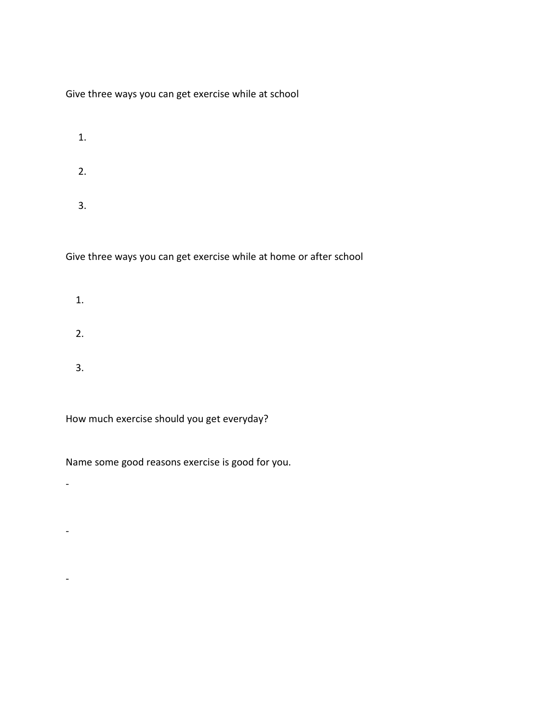Give three ways you can get exercise while at school

 1. 2. 3.

Give three ways you can get exercise while at home or after school

- 1. 2.
- 3.

How much exercise should you get everyday?

-

-

-

Name some good reasons exercise is good for you.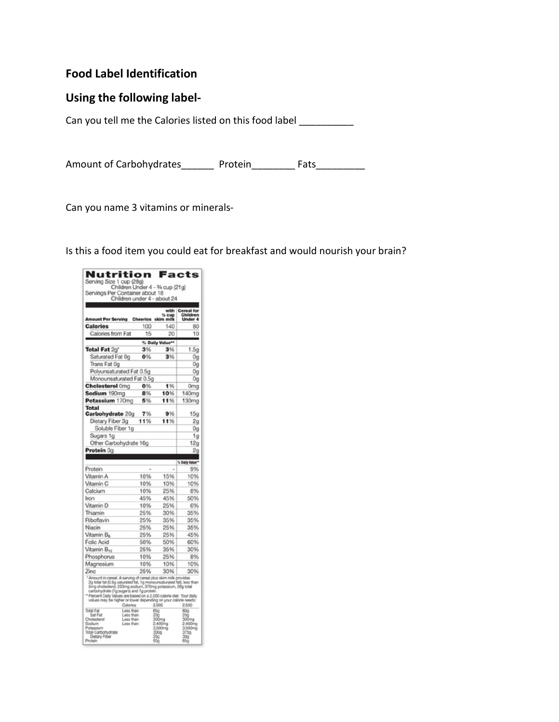# **Food Label Identification**

## **Using the following label-**

Can you tell me the Calories listed on this food label \_\_\_\_\_\_\_\_\_\_

Amount of Carbohydrates\_\_\_\_\_\_\_ Protein\_\_\_\_\_\_\_\_ Fats\_\_\_\_\_\_\_\_\_\_

Can you name 3 vitamins or minerals-

Is this a food item you could eat for breakfast and would nourish your brain?

| Nutrition<br>Facts<br>Serving Size 1 cup (28g)<br>Children Under 4 - 3/4 cup (21g)<br>Servings Per Container about 18<br>Children under 4 - about 24                                                                                                                                                                                                                                                                    |                                                              |     |                                                                          |                                                                          |  |  |  |
|-------------------------------------------------------------------------------------------------------------------------------------------------------------------------------------------------------------------------------------------------------------------------------------------------------------------------------------------------------------------------------------------------------------------------|--------------------------------------------------------------|-----|--------------------------------------------------------------------------|--------------------------------------------------------------------------|--|--|--|
|                                                                                                                                                                                                                                                                                                                                                                                                                         |                                                              |     |                                                                          |                                                                          |  |  |  |
| <sup>%</sup> Cup<br>Amount Per Serving Cheerios skim milk                                                                                                                                                                                                                                                                                                                                                               |                                                              |     |                                                                          | with Cereal for<br>cup Children<br>Under 4                               |  |  |  |
| <b>Calories</b>                                                                                                                                                                                                                                                                                                                                                                                                         |                                                              | 100 | 140                                                                      | 80                                                                       |  |  |  |
| Calories from Fat                                                                                                                                                                                                                                                                                                                                                                                                       |                                                              | 15  | 20                                                                       | 10                                                                       |  |  |  |
| % Daily Value**                                                                                                                                                                                                                                                                                                                                                                                                         |                                                              |     |                                                                          |                                                                          |  |  |  |
| Total Fat 2g*                                                                                                                                                                                                                                                                                                                                                                                                           |                                                              | 3%  | 3%                                                                       | 1.5 <sub>q</sub>                                                         |  |  |  |
| Saturated Fat Og                                                                                                                                                                                                                                                                                                                                                                                                        |                                                              | 0%  | 3%                                                                       | 0g                                                                       |  |  |  |
| Trans Fat Og                                                                                                                                                                                                                                                                                                                                                                                                            |                                                              |     |                                                                          | 0g                                                                       |  |  |  |
| Polyunsaturated Fat 0.5g                                                                                                                                                                                                                                                                                                                                                                                                |                                                              |     |                                                                          | 0g                                                                       |  |  |  |
| Monounsaturated Fat 0.5g                                                                                                                                                                                                                                                                                                                                                                                                |                                                              |     |                                                                          | 0g                                                                       |  |  |  |
| <b>Cholesterol Omg</b>                                                                                                                                                                                                                                                                                                                                                                                                  |                                                              | 0%  | 1%                                                                       | Omg                                                                      |  |  |  |
| Sodium 190mg                                                                                                                                                                                                                                                                                                                                                                                                            |                                                              | 8%  | 10%                                                                      | 140 <sub>mg</sub>                                                        |  |  |  |
| Potassium 170mg                                                                                                                                                                                                                                                                                                                                                                                                         |                                                              | 5%  | 11%                                                                      | 130mg                                                                    |  |  |  |
| <b>Total</b>                                                                                                                                                                                                                                                                                                                                                                                                            |                                                              |     |                                                                          |                                                                          |  |  |  |
| Carbohydrate 20g                                                                                                                                                                                                                                                                                                                                                                                                        |                                                              | 7%  | 9%                                                                       | 15g                                                                      |  |  |  |
| Dietary Fiber 3g                                                                                                                                                                                                                                                                                                                                                                                                        |                                                              | 11% | 11%                                                                      | 2g                                                                       |  |  |  |
| Soluble Fiber 1g                                                                                                                                                                                                                                                                                                                                                                                                        |                                                              |     |                                                                          | 0g                                                                       |  |  |  |
| Sugars 1g                                                                                                                                                                                                                                                                                                                                                                                                               |                                                              |     |                                                                          | 1 <sub>g</sub>                                                           |  |  |  |
| Other Carbohydrate 16g                                                                                                                                                                                                                                                                                                                                                                                                  |                                                              |     |                                                                          | 12q                                                                      |  |  |  |
| Protein 3g                                                                                                                                                                                                                                                                                                                                                                                                              |                                                              |     |                                                                          | 2 <sub>a</sub>                                                           |  |  |  |
|                                                                                                                                                                                                                                                                                                                                                                                                                         |                                                              |     |                                                                          |                                                                          |  |  |  |
|                                                                                                                                                                                                                                                                                                                                                                                                                         |                                                              |     |                                                                          | % Daily Value**                                                          |  |  |  |
| Protein                                                                                                                                                                                                                                                                                                                                                                                                                 |                                                              |     |                                                                          | 9%                                                                       |  |  |  |
| Vitamin A                                                                                                                                                                                                                                                                                                                                                                                                               |                                                              | 10% | 15%                                                                      | 10%                                                                      |  |  |  |
| Vitamin C                                                                                                                                                                                                                                                                                                                                                                                                               |                                                              | 10% | 10%                                                                      | 10%                                                                      |  |  |  |
| Calcium                                                                                                                                                                                                                                                                                                                                                                                                                 |                                                              | 10% | 25%                                                                      | 8%                                                                       |  |  |  |
| Iron                                                                                                                                                                                                                                                                                                                                                                                                                    |                                                              | 45% | 45%                                                                      | 50%                                                                      |  |  |  |
| Vitamin D                                                                                                                                                                                                                                                                                                                                                                                                               |                                                              | 10% | 25%                                                                      | 6%                                                                       |  |  |  |
| Thiamin                                                                                                                                                                                                                                                                                                                                                                                                                 |                                                              | 25% | 30%                                                                      | 35%                                                                      |  |  |  |
| Riboflavin                                                                                                                                                                                                                                                                                                                                                                                                              |                                                              | 25% | 35%                                                                      | 35%                                                                      |  |  |  |
| Niacin                                                                                                                                                                                                                                                                                                                                                                                                                  |                                                              | 25% | 25%                                                                      | 35%                                                                      |  |  |  |
| Vitamin B <sub>6</sub>                                                                                                                                                                                                                                                                                                                                                                                                  |                                                              | 25% | 25%                                                                      | 45%                                                                      |  |  |  |
| <b>Folic Acid</b>                                                                                                                                                                                                                                                                                                                                                                                                       |                                                              | 50% | 50%                                                                      | 60%                                                                      |  |  |  |
| Vitamin B <sub>12</sub>                                                                                                                                                                                                                                                                                                                                                                                                 |                                                              | 25% | 35%                                                                      | 30%                                                                      |  |  |  |
| Phosphorus                                                                                                                                                                                                                                                                                                                                                                                                              |                                                              | 10% | 25%                                                                      | 8%                                                                       |  |  |  |
| Magnesium                                                                                                                                                                                                                                                                                                                                                                                                               |                                                              | 10% | 10%                                                                      | 10%                                                                      |  |  |  |
| Zinc<br>25%<br>30%<br>30%<br>' Amount in cereal. A serving of cereal plus skim milk provides<br>2g total fat (0.5g saturated fat, 1g monounsaturated fat), less than<br>5mg cholesterol, 250mg sodium, 370mg potassium, 26g total<br>carbohydrate (7g sugars) and 7g protein<br>** Percent Daily Values are based on a 2,000 calorie diet. Your daily<br>values may be higher or lower depending on your calorie needs: |                                                              |     |                                                                          |                                                                          |  |  |  |
| <b>Total Fat</b><br>Sat Fat<br><b>Inclesterol</b><br>Sodum<br>Potassium<br>Total Carbohydrate<br>Dietary Fiber<br>Protein                                                                                                                                                                                                                                                                                               | Calories<br>Less than<br>Less than<br>Less than<br>Less than |     | 2,000<br>65g<br>20g<br>300mg<br>2.400mg<br>3.500mg<br>300g<br>25g<br>500 | 2,500<br>80g<br>25g<br>300mg<br>2.400mg<br>3.500mg<br>375g<br>30g<br>65g |  |  |  |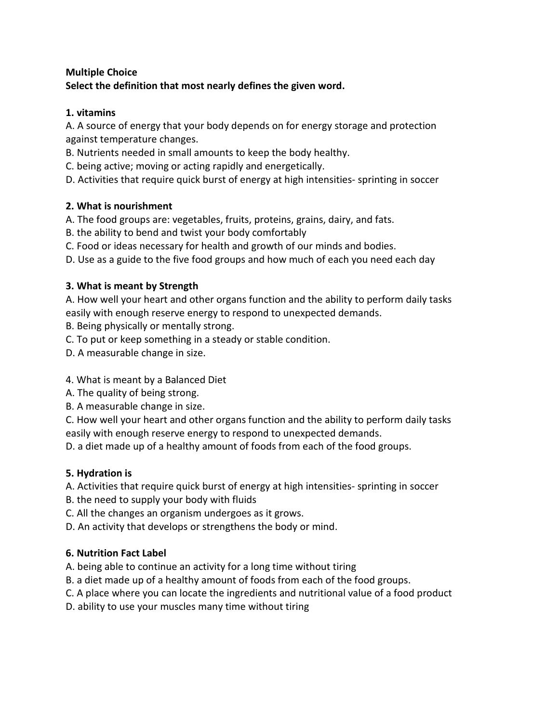## **Multiple Choice Select the definition that most nearly defines the given word.**

### **1. vitamins**

A. A source of energy that your body depends on for energy storage and protection against temperature changes.

B. Nutrients needed in small amounts to keep the body healthy.

C. being active; moving or acting rapidly and energetically.

D. Activities that require quick burst of energy at high intensities- sprinting in soccer

## **2. What is nourishment**

A. The food groups are: vegetables, fruits, proteins, grains, dairy, and fats.

- B. the ability to bend and twist your body comfortably
- C. Food or ideas necessary for health and growth of our minds and bodies.

D. Use as a guide to the five food groups and how much of each you need each day

## **3. What is meant by Strength**

A. How well your heart and other organs function and the ability to perform daily tasks easily with enough reserve energy to respond to unexpected demands.

- B. Being physically or mentally strong.
- C. To put or keep something in a steady or stable condition.
- D. A measurable change in size.

# 4. What is meant by a Balanced Diet

- A. The quality of being strong.
- B. A measurable change in size.

C. How well your heart and other organs function and the ability to perform daily tasks easily with enough reserve energy to respond to unexpected demands.

D. a diet made up of a healthy amount of foods from each of the food groups.

# **5. Hydration is**

A. Activities that require quick burst of energy at high intensities- sprinting in soccer

B. the need to supply your body with fluids

C. All the changes an organism undergoes as it grows.

D. An activity that develops or strengthens the body or mind.

# **6. Nutrition Fact Label**

A. being able to continue an activity for a long time without tiring

- B. a diet made up of a healthy amount of foods from each of the food groups.
- C. A place where you can locate the ingredients and nutritional value of a food product
- D. ability to use your muscles many time without tiring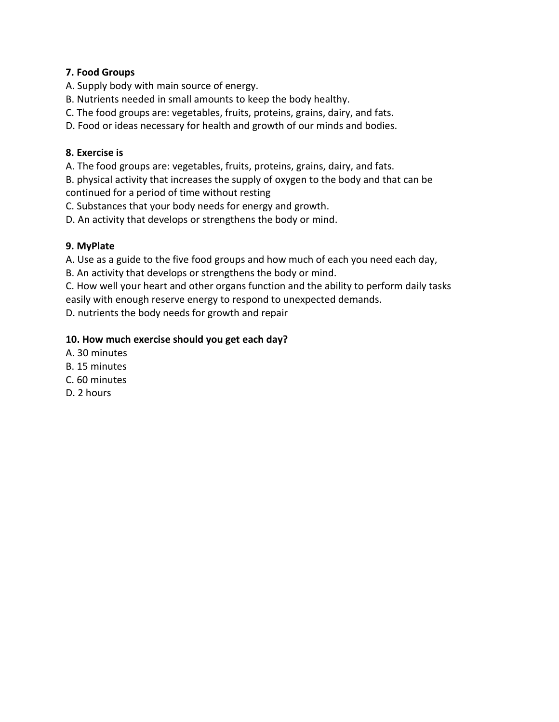#### **7. Food Groups**

- A. Supply body with main source of energy.
- B. Nutrients needed in small amounts to keep the body healthy.
- C. The food groups are: vegetables, fruits, proteins, grains, dairy, and fats.
- D. Food or ideas necessary for health and growth of our minds and bodies.

#### **8. Exercise is**

A. The food groups are: vegetables, fruits, proteins, grains, dairy, and fats.

B. physical activity that increases the supply of oxygen to the body and that can be continued for a period of time without resting

C. Substances that your body needs for energy and growth.

D. An activity that develops or strengthens the body or mind.

### **9. MyPlate**

A. Use as a guide to the five food groups and how much of each you need each day,

B. An activity that develops or strengthens the body or mind.

C. How well your heart and other organs function and the ability to perform daily tasks easily with enough reserve energy to respond to unexpected demands.

D. nutrients the body needs for growth and repair

#### **10. How much exercise should you get each day?**

- A. 30 minutes
- B. 15 minutes
- C. 60 minutes
- D. 2 hours